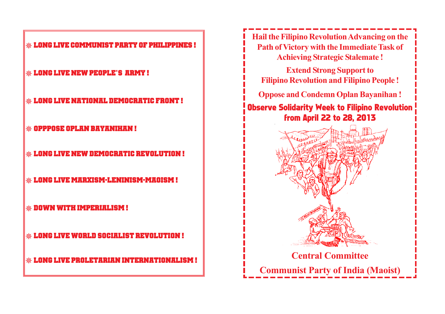**Long Live Communist party of philippines !**

- **Long Live New People's Army !**
- **Long Live National Democratic Front !**
- **Opppose OPlan Bayanihan !**
- **Long Live New Democratic Revolution !**
- **Long Live Marxism-Leninism-Maoism !**
- **Down with Imperialism !**
- **Long Live World Socialist Revolution !**
- **Long Live Proletarian Internationalism !**

**Hail the Filipino Revolution Advancing on the Path of Victory with the Immediate Task of Achieving Strategic Stalemate !**

**Extend Strong Support to Filipino Revolution and Filipino People !**

**Oppose and Condemn Oplan Bayanihan !**

# Observe Solidarity Week to Filipino Revolution from April 22 to 28, 2013

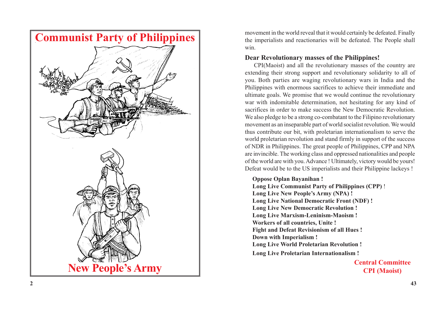

movement in the world reveal that it would certainly be defeated. Finally the imperialists and reactionaries will be defeated. The People shall win.

# **Dear Revolutionary masses of the Philippines!**

CPI(Maoist) and all the revolutionary masses of the country are extending their strong support and revolutionary solidarity to all of you. Both parties are waging revolutionary wars in India and the Philippines with enormous sacrifices to achieve their immediate and ultimate goals. We promise that we would continue the revolutionary war with indomitable determination, not hesitating for any kind of sacrifices in order to make success the New Democratic Revolution. We also pledge to be a strong co-combatant to the Filipino revolutionary movement as an inseparable part of world socialist revolution. We would thus contribute our bit, with proletarian internationalism to serve the world proletarian revolution and stand firmly in support of the success of NDR in Philippines. The great people of Philippines, CPP and NPA are invincible. The working class and oppressed nationalities and people of the world are with you. Advance ! Ultimately, victory would be yours! Defeat would be to the US imperialists and their Philippine lackeys !

#### **Oppose Oplan Bayanihan !**

**Long Live Communist Party of Philippines (CPP)** ! **Long Live New People's Army (NPA) ! Long Live National Democratic Front (NDF) ! Long Live New Democratic Revolution ! Long Live Marxism-Leninism-Maoism ! Workers of all countries, Unite ! Fight and Defeat Revisionism of all Hues ! Down with Imperialism ! Long Live World Proletarian Revolution ! Long Live Proletarian Internationalism !**

> **Central Committee CPI (Maoist)**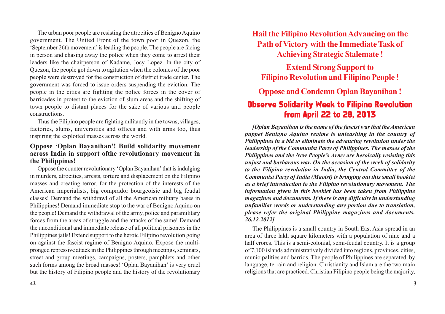The urban poor people are resisting the atrocities of Benigno Aquino government. The United Front of the town poor in Quezon, the 'September 26th movement' is leading the people. The people are facing in person and chasing away the police when they come to arrest their leaders like the chairperson of Kadame, Jocy Lopez. In the city of Quezon, the people got down to agitation when the colonies of the poor people were destroyed for the construction of district trade center. The government was forced to issue orders suspending the eviction. The people in the cities are fighting the police forces in the cover of barricades in protest to the eviction of slum areas and the shifting of town people to distant places for the sake of various anti people constructions.

Thus the Filipino people are fighting militantly in the towns, villages, factories, slums, universities and offices and with arms too, thus inspiring the exploited masses across the world.

# **Oppose 'Oplan Bayanihan'! Build solidarity movement across India in support ofthe revolutionary movement in the Philippines!**

Oppose the counter revolutionary 'Oplan Bayanihan' that is indulging in murders, atrocities, arrests, torture and displacement on the Filipino masses and creating terror, for the protection of the interests of the American imperialists, big comprador bourgeoisie and big feudal classes! Demand the withdrawl of all the American military bases in Philippines! Demand immediate stop to the war of Benigno Aquino on the people! Demand the withdrawal of the army, police and paramilitary forces from the areas of struggle and the attacks of the same! Demand the unconditional and immediate release of all political prisoners in the Philippines jails! Extend support to the heroic Filipino revolution going on against the fascist regime of Benigno Aquino. Expose the multipronged repressive attack in the Philippines through meetings, seminars, street and group meetings, campaigns, posters, pamphlets and other such forms among the broad masses! 'Oplan Bayanihan' is very cruel but the history of Filipino people and the history of the revolutionary

**Hail the Filipino Revolution Advancing on the Path of Victory with the Immediate Task of Achieving Strategic Stalemate !**

**Extend Strong Support to Filipino Revolution and Filipino People !**

**Oppose and Condemn Oplan Bayanihan !**

# Observe Solidarity Week to Filipino Revolution from April 22 to 28, 2013

*[Oplan Bayanihan is the name of the fascist war that the American puppet Benigno Aquino regime is unleashing in the country of Philippines in a bid to eliminate the advancing revolution under the leadership of the Communist Party of Philippines. The masses of the Philippines and the New People's Army are heroically resisting this unjust and barbarous war. On the occasion of the week of solidarity to the Filipino revolution in India, the Central Committee of the Communist Party of India (Maoist) is bringing out this small booklet as a brief introduction to the Filipino revolutionary movement. The information given in this booklet has been taken from Philippine magazines and documents. If there is any difficulty in understanding unfamiliar words or understanding any portion due to translation, please refer the original Philippine magazines and documents. 26.12.2012]*

The Philippines is a small country in South East Asia spread in an area of three lakh square kilometers with a population of nine and a half crores. This is a semi-colonial, semi-feudal country. It is a group of 7,100 islands administratively divided into regions, provinces, cities, municipalities and barrios. The people of Philippines are separated by language, terrain and religion. Christianity and Islam are the two main religions that are practiced. Christian Filipino people being the majority,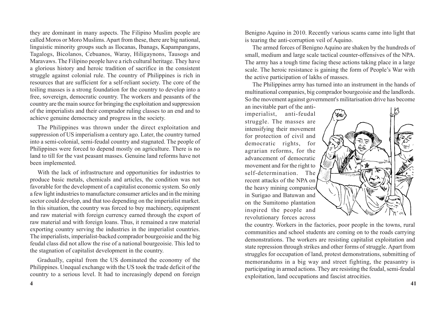they are dominant in many aspects. The Filipino Muslim people are called Moros or Moro Muslims. Apart from these, there are big national, linguistic minority groups such as Ilocanas, Ibanags, Kapampangans, Tagalogs, Bicolanos, Cebuanos, Waray, Hiligaynons, Tausogs and Maravaws. The Filipino people have a rich cultural heritage. They have a glorious history and heroic tradition of sacrifice in the consistent struggle against colonial rule. The country of Philippines is rich in resources that are sufficient for a self-reliant society. The core of the toiling masses is a strong foundation for the country to develop into a free, sovereign, democratic country. The workers and peasants of the country are the main source for bringing the exploitation and suppression of the imperialists and their comprador ruling classes to an end and to achieve genuine democracy and progress in the society.

The Philippines was thrown under the direct exploitation and suppression of US imperialism a century ago. Later, the country turned into a semi-colonial, semi-feudal country and stagnated. The people of Philippines were forced to depend mostly on agriculture. There is no land to till for the vast peasant masses. Genuine land reforms have not been implemented.

With the lack of infrastructure and opportunities for industries to produce basic metals, chemicals and articles, the condition was not favorable for the development of a capitalist economic system. So only a few light industries to manufacture consumer articles and in the mining sector could develop, and that too depending on the imperialist market. In this situation, the country was forced to buy machinery, equipment and raw material with foreign currency earned through the export of raw material and with foreign loans. Thus, it remained a raw material exporting country serving the industries in the imperialist countries. The imperialists, imperialist-backed comprador bourgeoisie and the big feudal class did not allow the rise of a national bourgeoisie. This led to the stagnation of capitalist development in the country.

Gradually, capital from the US dominated the economy of the Philippines. Unequal exchange with the US took the trade deficit of the country to a serious level. It had to increasingly depend on foreign Benigno Aquino in 2010. Recently various scams came into light that is tearing the anti-corruption veil of Aquino.

The armed forces of Benigno Aquino are shaken by the hundreds of small, medium and large scale tactical counter-offensives of the NPA. The army has a tough time facing these actions taking place in a large scale. The heroic resistance is gaining the form of People's War with the active participation of lakhs of masses.

The Philippines army has turned into an instrument in the hands of multinational companies, big comprador bourgeoisie and the landlords. So the movement against government's militarisation drive has become

an inevitable part of the antiimperialist, anti-feudal struggle. The masses are intensifying their movement for protection of civil and democratic rights, for agrarian reforms, for the advancement of democratic movement and for the right to self-determination. The recent attacks of the NPA on the heavy mining companies in Surigao and Batuwan and on the Sumitomo plantation inspired the people and revolutionary forces across



the country. Workers in the factories, poor people in the towns, rural communities and school students are coming on to the roads carrying demonstrations. The workers are resisting capitalist exploitation and state repression through strikes and other forms of struggle. Apart from struggles for occupation of land, protest demonstrations, submitting of memorandums in a big way and street fighting, the peasantry is participating in armed actions. They are resisting the feudal, semi-feudal exploitation, land occupations and fascist atrocities.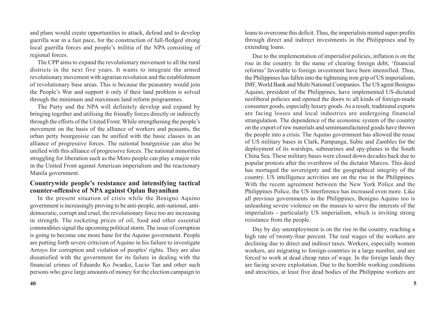and plans would create opportunities to attack, defend and to develop guerilla war in a fast pace, for the construction of full-fledged strong local guerilla forces and people's militia of the NPA consisting of regional forces.

The CPP aims to expand the revolutionary movement to all the rural districts in the next five years. It wants to integrate the armed revolutionary movement with agrarian revolution and the establishment of revolutionary base areas. This is because the peasantry would join the People's War and support it only if their land problem is solved through the minimum and maximum land reform programmes.

The Party and the NPA will definitely develop and expand by bringing together and utilising the friendly forces directly or indirectly through the efforts of the United Front. While strengthening the people's movement on the basis of the alliance of workers and peasants, the urban petty bourgeoisie can be unified with the basic classes in an alliance of progressive forces. The national bourgeoisie can also be unified with this alliance of progressive forces. The national minorities struggling for liberation such as the Moro people can play a major role in the United Front against American imperialism and the reactionary Manila government.

# **Countrywide people's resistance and intensifying tactical counter-offensive of NPA against Oplan Bayanihan**

In the present situation of crisis while the Benigno Aquino government is increasingly proving to be anti-people, anti-national, antidemocratic, corrupt and cruel, the revolutionary force too are increasing in strength. The rocketing prices of oil, food and other essential commodities signal the upcoming political storm. The issue of corruption is going to become one more bane for the Aquino government. People are putting forth severe criticism of Aquino in his failure to investigate Arroyo for corruption and violation of peoples' rights. They are also dissatisfied with the government for its failure in dealing with the financial crimes of Eduardo Ko Jwanko, Lucio Tan and other such persons who gave large amounts of money for the election campaign to

loans to overcome this deficit. Thus, the imperialists minted super-profits through direct and indirect investments in the Philippines and by extending loans.

Due to the implementation of imperialist policies, inflation is on the rise in the country. In the name of clearing foreign debt, 'financial reforms' favorable to foreign investment have been intensified. Thus, the Philippines has fallen into the tightening iron grip of US imperialism, IMF, World Bank and Multi National Companies. The US agent Benigno Aquino, president of the Philippines, have implemented US-dictated neoliberal policies and opened the doors to all kinds of foreign-made consumer goods, especially luxury goods. As a result, traditional exports are facing losses and local industries are undergoing financial strangulation. The dependence of the economic system of the country on the export of raw materials and semimanufactured goods have thrown the people into a crisis. The Aquino government has allowed the reuse of US military bases in Clark, Pampanga, Subic and Zambles for the deployment of its warships, submarines and spy-planes in the South China Sea. These military bases were closed down decades back due to popular protests after the overthrow of the dictator Marcos. This deed has mortaged the sovereignty and the geographical integrity of the country. US intelligence activities are on the rise in the Philippines. With the recent agreement between the New York Police and the Philippines Police, the US interference has increased even more. Like all previous governments in the Philippines, Benigno Aquino too is unleashing severe violence on the masses to serve the interests of the imperialists - particularly US imperialism, which is inviting strong resistance from the people.

Day by day unemployment is on the rise in the country, reaching a high rate of twenty-four percent. The real wages of the workers are declining due to direct and indirect taxes. Workers, especially women workers, are migrating to foreign countries in a large number, and are forced to work at dead cheap rates of wage. In the foreign lands they are facing severe exploitation. Due to the horrible working conditions and atrocities, at least five dead bodies of the Philippine workers are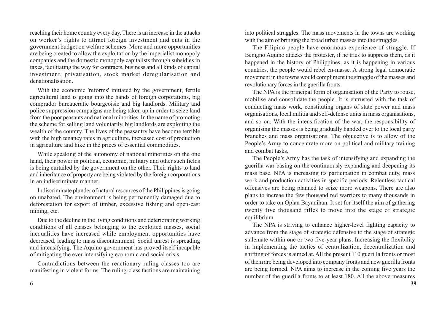reaching their home country every day. There is an increase in the attacks on worker's rights to attract foreign investment and cuts in the government budget on welfare schemes. More and more opportunities are being created to allow the exploitation by the imperialist monopoly companies and the domestic monopoly capitalists through subsidies in taxes, facilitating the way for contracts, business and all kinds of capital investment, privatisation, stock market deregularisation and denationalisation.

With the economic 'reforms' initiated by the government, fertile agricultural land is going into the hands of foreign corporations, big comprador bureaucratic bourgeoisie and big landlords. Military and police suppression campaigns are being taken up in order to seize land from the poor peasants and national minorities. In the name of promoting the scheme for selling land voluntarily, big landlords are exploiting the wealth of the country. The lives of the peasantry have become terrible with the high tenancy rates in agriculture, increased cost of production in agriculture and hike in the prices of essential commodities.

While speaking of the autonomy of national minorities on the one hand, their power in political, economic, military and other such fields is being curtailed by the government on the other. Their rights to land and inheritance of property are being violated by the foreign corporations in an indiscriminate manner.

Indiscriminate plunder of natural resources of the Philippines is going on unabated. The environment is being permanently damaged due to deforestation for export of timber, excessive fishing and open-cast mining, etc.

Due to the decline in the living conditions and deteriorating working conditions of all classes belonging to the exploited masses, social inequalities have increased while employment opportunities have decreased, leading to mass discontentment. Social unrest is spreading and intensifying. The Aquino government has proved itself incapable of mitigating the ever intensifying economic and social crisis.

Contradictions between the reactionary ruling classes too are manifesting in violent forms. The ruling-class factions are maintaining

into political struggles. The mass movements in the towns are working with the aim of bringing the broad urban masses into the struggles.

The Filipino people have enormous experience of struggle. If Benigno Aquino attacks the protester, if he tries to suppress them, as it happened in the history of Philippines, as it is happening in various countries, the people would rebel en-masse. A strong legal democratic movement in the towns would compliment the struggle of the masses and revolutionary forces in the guerilla fronts.

The NPA is the principal form of organisation of the Party to rouse, mobilise and consolidate.the people. It is entrusted with the task of conducting mass work, constituting organs of state power and mass organisations, local militia and self-defense units in mass organisations, and so on. With the intensification of the war, the responsibility of organising the masses is being gradually handed over to the local party branches and mass organisations. The objuective is to allow of the People's Army to concentrate more on political and military training and combat tasks.

The People's Army has the task of intensifying and expanding the guerilla war basing on the continuously expanding and deepening its mass base. NPA is increasing its participation in combat duty, mass work and production activities in specific periods. Relentless tactical offensives are being planned to seize more weapons. There are also plans to increae the few thousand red warriors to many thousands in order to take on Oplan Bayanihan. It set for itself the aim of gathering twenty five thousand rifles to move into the stage of strategic equilibrium.

The NPA is striving to enhance higher-level fighting capacity to advance from the stage of strategic defensive to the stage of strategic stalemate within one or two five-year plans. Increasing the flexibility in implementing the tactics of centralization, decentralization and shifting of forces is aimed at. All the present 110 guerilla fronts or most of them are being developed into company fronts and new guerilla fronts are being formed. NPA aims to increase in the coming five years the number of the guerilla fronts to at least 180. All the above measures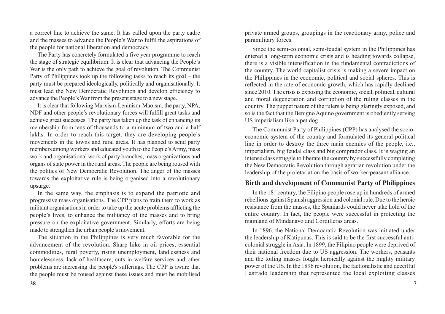a correct line to achieve the same. It has called upon the party cadre and the masses to advance the People's War to fulfil the aspirations of the people for national liberation and democracy.

The Party has concretely formulated a five year programme to reach the stage of strategic equilibrium. It is clear that advancing the People's War is the only path to achieve the goal of revolution. The Communist Party of Philippines took up the following tasks to reach its goal – the party must be prepared ideologically, politically and organisationally. It must lead the New Democratic Revolution and develop efficiency to advance the People's War from the present stage to a new stage.

It is clear that following Marxism-Leninism-Maoism, the party, NPA, NDF and other people's revolutionary forces will fulfill great tasks and achieve great successes. The party has taken up the task of enhancing its membership from tens of thousands to a minimum of two and a half lakhs. In order to reach this target, they are developing people's movements in the towns and rural areas. It has planned to send party members among workers and educated youth to the People's Army, mass work and organisational work of party branches, mass organizations and organs of state power in the rural areas. The people are being roused with the politics of New Democratic Revolution. The anger of the masses towards the exploitative rule is being organised into a revolutionary upsurge.

In the same way, the emphasis is to expand the patriotic and progressive mass organisations. The CPP plans to train them to work as militant organisations in order to take up the acute problems afflicting the people's lives, to enhance the militancy of the masses and to bring pressure on the exploitative government. Similarly, efforts are being made to strengthen the urban people's movement.

The situation in the Philippines is very much favorable for the advancement of the revolution. Sharp hike in oil prices, essential commodities, rural poverty, rising unemployment, landlessness and homelessness, lack of healthcare, cuts in welfare services and other problems are increasing the people's sufferings. The CPP is aware that the people must be roused against these issues and must be mobilised

private armed groups, groupings in the reactionary army, police and paramilitary forces.

Since the semi-colonial, semi-feudal system in the Philippines has entered a long-term economic crisis and is heading towards collapse, there is a visible intensification in the fundamental contradictions of the country. The world capitalist crisis is making a severe impact on the Philippines in the economic, political and social spheres. This is reflected in the rate of economic growth, which has rapidly declined since 2010. The crisis is exposing the economic, social, political, cultural and moral degeneration and corruption of the ruling classes in the country. The puppet nature of the rulers is being glaringly exposed, and so is the fact that the Benigno Aquino government is obediently serving US imperialism like a pet dog.

The Communist Party of Philippines (CPP) has analysed the socioeconomic system of the country and formulated its general political line in order to destroy the three main enemies of the people, i.e., imperialism, big feudal class and big comprador class. It is waging an intense class struggle to liberate the country by successfully completing the New Democratic Revolution through agrarian revolution under the leadership of the proletariat on the basis of worker-peasant alliance.

# **Birth and development of Communist Party of Philippines**

In the  $18<sup>th</sup>$  century, the Filipino people rose up in hundreds of armed rebellions against Spanish aggression and colonial rule. Due to the heroic resistance from the masses, the Spaniards could never take hold of the entire country. In fact, the people were successful in protecting the mainland of Mindanavo and Cordilleras areas.

In 1896, the National Democratic Revolution was initiated under the leadership of Katipunas. This is said to be the first successful anticolonial struggle in Asia. In 1899, the Filipino people were deprived of their national freedom due to US aggression. The workers, peasants and the toiling masses fought heroically against the mighty military power of the US. In the 1896 revolution, the factionalistic and deceitful Ilastrado leadership that represented the local exploiting classes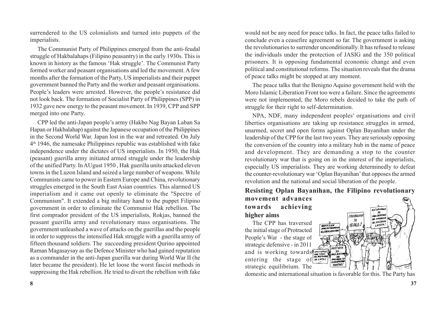surrendered to the US colonialists and turned into puppets of the imperialists.

The Communist Party of Philippines emerged from the anti-feudal struggle of Hakbalahaps (Filipino peasantry) in the early 1930s. This is known in history as the famous 'Hak struggle'. The Communist Party formed worker and peasant organisations and led the movement. A few months after the formation of the Party, US imperialists and their puppet government banned the Party and the worker and peasant organisations. People's leaders were arrested. However, the people's resistance did not look back. The formation of Socialist Party of Philippines (SPP) in 1932 gave new energy to the peasant movement. In 1939, CPP and SPP merged into one Party.

CPP led the anti-Japan people's army (Hakbo Nag Bayan Laban Sa Hapan or Hakbalahap) against the Japanese occupation of the Philippines in the Second World War. Japan lost in the war and retreated. On July  $4<sup>th</sup>$  1946, the namesake Philippines republic was established with fake independence under the dictates of US imperialists. In 1950, the Hak (peasant) guerilla army initiated armed struggle under the leadership of the unified Party. In AUgust 1950 , Hak guerilla units attacked eleven towns in the Luzon Island and seized a large number of weapons. While Communists came to power in Eastern Europe and China, revolutionary struggles emerged in the South East Asian countries. This alarmed US imperialism and it came out openly to eliminate the "Spectre of Communism". It extended a big military hand to the puppet Filipino government in order to eliminate the Communist Hak rebellion. The first comprador president of the US imperialists, Rokjas, banned the peasant guerilla army and revolutionary mass organisations. The government unleashed a wave of attacks on the guerillas and the people in order to suppress the intensified Hak struggle with a guerilla army of fifteen thousand soldiers. The succeeding president Qurino appointed Raman Magasaysay as the Defence Minister who had gained reputation as a commander in the anti-Japan guerilla war during World War II (he later became the president). He let loose the worst fascist methods in suppressing the Hak rebellion. He tried to divert the rebellion with fake

would not be any need for peace talks. In fact, the peace talks failed to conclude even a ceasefire agreement so far. The government is asking the revolutionaries to surrender unconditionally. It has refused to release the individuals under the protection of JASIG and the 350 political prisoners. It is opposing fundamental economic change and even political and constitutional reforms. The situation reveals that the drama of peace talks might be stopped at any moment.

The peace talks that the Benigno Aquino government held with the Moro Islamic Liberation Front too were a failure. Since the agreements were not implemented, the Moro rebels decided to take the path of struggle for their right to self-determination.

NPA, NDF, many independent peoples' organisations and civil liberties organisations are taking up resistance struggles in armed, unarmed, secret and open forms against Oplan Bayanihan under the leadership of the CPP for the last two years. They are seriously opposing the conversion of the country into a military hub in the name of peace and development. They are demanding a stop to the counter revolutionary war that is going on in the interest of the imperialists, especially US imperialists. They are working determinedly to defeat the counter-revolutionary war 'Oplan Bayanihan' that opposes the armed revolution and the national and social liberation of the people.

**Resisting Oplan Bayanihan, the Filipino revolutionary**

# **movement advances towards achieving higher aims**

The CPP has traversed the initial stage of Protracted People's War - the stage of strategic defensive - in 2011 and is working towards  $\frac{1}{\frac{1}{2}}$ entering the stage of  $\frac{M}{S}$ strategic equilibrium. The



domestic and international situation is favorable for this. The Party has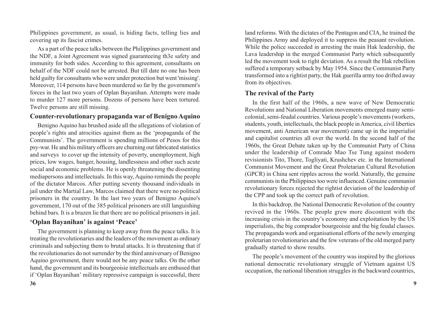Philippines government, as usual, is hiding facts, telling lies and covering up its fascist crimes.

As a part of the peace talks between the Philippines government and the NDF, a Joint Agreement was signed guaranteeing th3e safety and immunity for both sides. According to this agreement, consultants on behalf of the NDF could not be arrested. But till date no one has been held guilty for consultants who were under protection but went 'missing'. Moreover, 114 persons have been murdered so far by the government's forces in the last two years of Oplan Bayanihan. Attempts were made to murder 127 more persons. Dozens of persons have been tortured. Twelve persons are still missing.

#### **Counter-revolutionary propaganda war of Benigno Aquino**

Benigno Aquino has brushed aside all the allegations of violation of people's rights and atrocities against them as the 'propaganda of the Communists'. The government is spending millions of Pesos for this psy-war. He and his military officers are churning out fabricated statistics and surveys to cover up the intensity of poverty, unemployment, high prices, low wages, hunger, housing, landlessness and other such acute social and economic problems. He is openly threatening the dissenting mediapersons and intellectuals. In this way, Aquino reminds the people of the dictator Marcos. After putting seventy thousand individuals in jail under the Martial Law, Marcos claimed that there were no political prisoners in the country. In the last two years of Benigno Aquino's government, 170 out of the 385 political prisoners are still languishing behind bars. It is a brazen lie that there are no political prisoners in jail.

# **'Oplan Bayanihan' is against 'Peace'**

The government is planning to keep away from the peace talks. It is treating the revolutionaries and the leaders of the movement as ordinary criminals and subjecting them to brutal attacks. It is threatening that if the revolutionaries do not surrender by the third anniversary of Benigno Aquino government, there would not be any peace talks. On the other hand, the government and its bourgeoisie intellectuals are enthused that if 'Oplan Bayanihan' military repressive campaign is successful, there

land reforms. With the dictates of the Pentagon and CIA, he trained the Philippines Army and deployed it to suppress the peasant revolution. While the police succeeded in arresting the main Hak leadership, the Lava leadership in the merged Communist Party which subsequently led the movement took to right deviation. As a result the Hak rebellion suffered a temporary setback by May 1954. Since the Communist Party transformed into a rightist party, the Hak guerilla army too drifted away from its objectives.

# **The revival of the Party**

In the first half of the 1960s, a new wave of New Democratic Revolutions and National Liberation movements emerged many semicolonial, semi-feudal countries. Various people's movements (workers, students, youth, intellectuals, the black people in America, civil liberties movement, anti American war movement) came up in the imperialist and capitalist countries all over the world. In the second half of the 1960s, the Great Debate taken up by the Communist Party of China under the leadership of Comrade Mao Tse Tung against modern revisionists Tito, Thore, Togliyati, Krushchev etc. in the International Communist Movement and the Great Proletarian Cultural Revolution (GPCR) in China sent ripples across the world. Naturally, the genuine communists in the Philippines too were influenced. Genuine communist revolutionary forces rejected the rightist deviation of the leadership of the CPP and took up the correct path of revolution.

In this backdrop, the National Democratic Revolution of the country revived in the 1960s. The people grew more discontent with the increasing crisis in the country's economy and exploitation by the US imperialists, the big comprador bourgeoisie and the big feudal classes. The propaganda work and organisational efforts of the newly emerging proletarian revolutionaries and the few veterans of the old merged party gradually started to show results.

The people's movement of the country was inspired by the glorious national democratic revolutionary struggle of Vietnam against US occupation, the national liberation struggles in the backward countries,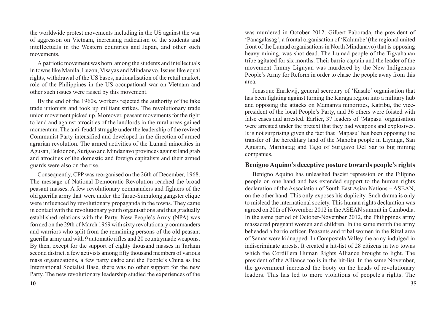the worldwide protest movements including in the US against the war of aggresson on Vietnam, increasing radicalism of the students and intellectuals in the Western countries and Japan, and other such movements.

A patriotic movement was born among the students and intellectuals in towns like Manila, Luzon, Visayas and Mindanavo. Issues like equal rights, withdrawal of the US bases, nationalisation of the retail market, role of the Philippines in the US occupational war on Vietnam and other such issues were raised by this movement.

By the end of the 1960s, workers rejected the authority of the fake trade unionists and took up militant strikes. The revolutionary trade union movement picked up. Moreover, peasant movements for the right to land and against atrocities of the landlords in the rural areas gained momentum. The anti-feudal struggle under the leadership of the revived Communist Party intensified and developed in the direction of armed agrarian revolution. The armed activities of the Lumad minorities in Agusan, Bukidnon, Surigao and Mindanavo provinces against land grab and atrocities of the domestic and foreign capitalists and their armed guards were also on the rise.

Consequently, CPP was reorganised on the 26th of December, 1968. The message of National Democratic Revolution reached the broad peasant masses. A few revolutionary commanders and fighters of the old guerilla army that were under the Taruc-Sumulong gangster clique were influenced by revolutionary propaganda in the towns. They came in contact with the revolutionary youth organisations and thus gradually established relations with the Party. New People's Army (NPA) was formed on the 29th of March 1969 with sixty revolutionary commanders and warriors who split from the remaining persons of the old peasant guerilla army and with 9 automatic rifles and 20 countrymade weapons. By then, except for the support of eighty thousand masses in Tarlann second district, a few activists among fifty thousand members of various mass organizations, a few party cadre and the People's China as the International Socialist Base, there was no other support for the new Party. The new revolutionary leadership studied the experiences of the was murdered in October 2012. Gilbert Paborada, the president of 'Panagalasag', a frontal organisation of 'Kalumbe' (the regional united front of the Lumad organisations in North Mindanavo) that is opposing heavy mining, was shot dead. The Lumad people of the Tigvahanan tribe agitated for six months. Their barrio captain and the leader of the movement Jimmy Liguyan was murdered by the New Indigenous People's Army for Reform in order to chase the people away from this area.

Jenasque Enrikwij, general secretary of 'Kasalo' organisation that has been fighting against turning the Karaga region into a military hub and opposing the attacks on Mamanva minorities, Katribu, the vicepresident of the local People's Party, and 36 others were foisted with false cases and arrested. Earlier, 37 leaders of 'Mapasu' organisation were arrested under the pretext that they had weapons and explosives. It is not surprising given the fact that 'Mapasu' has been opposing the transfer of the hereditary land of the Manoba people in Liyanga, San Agustin, Marihatag and Tago of Surigavo Del Sar to big mining companies.

#### **Benigno Aquino's deceptive posture towards people's rights**

Benigno Aquino has unleashed fascist repression on the Filipino people on one hand and has extended support to the human rights declaration of the Association of South East Asian Nations – ASEAN, on the other hand. This only exposes his duplicity. Such drama is only to mislead the international society. This human rights declaration was agreed on 20th of November 2012 in the ASEAN summit in Cambodia. In the same period of October-November 2012, the Philippines army massacred pregnant women and children. In the same month the army beheaded a barrio officer. Peasants and tribal women in the Rizal area of Samar were kidnapped. In Compostela Valley the army indulged in indiscriminate arrests. It created a hit-list of 28 citizens in two towns which the Cordillera Human Rights Alliance brought to light. The president of the Alliance too is in the hit-list. In the same November, the government increased the booty on the heads of revolutionary leaders. This has led to more violations of peopele's rights. The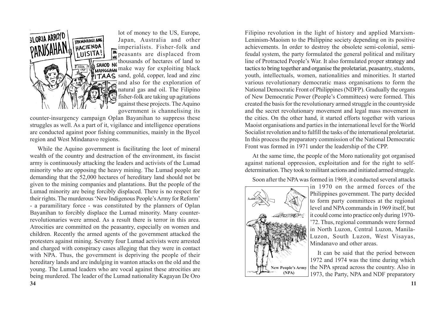

lot of money to the US, Europe, Japan, Australia and other imperialists. Fisher-folk and **PALA** peasants are displaced from  $\frac{1}{\sqrt{1-\frac{1}{n}}\sqrt{1-\frac{1}{n}}}$  thousands of hectares of land to make way for exploiting black  $\mathbf{F}$   $\mathbf{A}\mathbf{A}\mathbf{S}$  sand, gold, copper, lead and zinc  $\sqrt{\ }$  and also for the exploration of natural gas and oil. The Filipino fisher-folk are taking up agitations against these projects. The Aquino government is channelising its

counter-insurgency campaign Oplan Bayanihan to suppress these struggles as well. As a part of it, vigilance and intelligence operations are conducted against poor fishing communities, mainly in the Bycol region and West Mindanavo regions.

While the Aquino government is facilitating the loot of mineral wealth of the country and destruction of the environment, its fascist army is continuously attacking the leaders and activists of the Lumad minority who are opposing the heavy mining. The Lumad people are demanding that the 52,000 hectares of hereditary land should not be given to the mining companies and plantations. But the people of the Lumad minority are being forcibly displaced. There is no respect for their rights. The murderous 'New Indigenous People's Army for Reform' - a paramilitary force - was constituted by the planners of Oplan Bayanihan to forcibly displace the Lumad minority. Many counterrevolutionaries were armed. As a result there is terror in this area. Atrocities are committed on the peasantry, especially on women and children. Recently the armed agents of the government attacked the protesters against mining. Seventy four Lumad activists were arrested and charged with conspiracy cases alleging that they were in contact with NPA. Thus, the government is depriving the people of their hereditary lands and are indulging in wanton attacks on the old and the young. The Lumad leaders who are vocal against these atrocities are being murdered. The leader of the Lumad nationality Kagayan De Oro

Filipino revolution in the light of history and applied Marxism-Leninism-Maoism to the Philippine society depending on its positive achievements. In order to destroy the obsolete semi-colonial, semifeudal system, the party formulated the general political and military line of Protracted People's War. It also formulated proper strategy and tactics to bring together and organise the proletariat, peasantry, students, youth, intellectuals, women, nationalities and minorities. It started various revolutionary democratic mass organisations to form the National Democratic Front of Philippines (NDFP). Gradually the organs of New Democratic Power (People's Committees) were formed. This created the basis for the revolutionary armed struggle in the countryside and the secret revolutionary movement and legal mass movement in the cities. On the other hand, it started efforts together with various Maoist organisations and parties in the international level for the World Socialist revolution and to fulfill the tasks of the international proletariat. In this process the preparatory commission of the National Democratic Front was formed in 1971 under the leadership of the CPP.

At the same time, the people of the Moro nationality got organised against national oppression, exploitation and for the right to selfdetermination. They took to militant actions and initiated armed struggle.

Soon after the NPA was formed in 1969, it conducted several attacks



in 1970 on the armed forces of the Philippines government. The party decided to form party committees at the regional level and NPA commands in 1969 itself, but it could come into practice only during 1970- '72. Thus, regional commands were formed in North Luzon, Central Luzon, Manila-Luzon, South Luzon, West Visayas, Mindanavo and other areas.

It can be said that the period between 1972 and 1974 was the time during which the NPA spread across the country. Also in 1973, the Party, NPA and NDF preparatory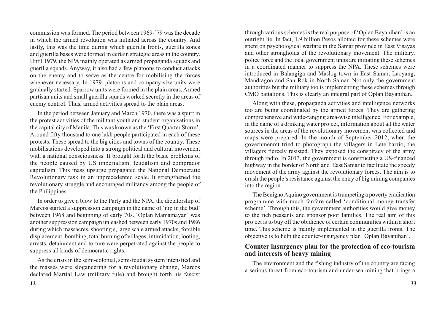commission was formed. The period between 1969-'79 was the decade in which the armed revolution was initiated across the country. And lastly, this was the time during which guerilla fronts, guerilla zones and guerilla bases were formed in certain strategic areas in the country. Until 1979, the NPA mainly operated as armed propaganda squads and guerilla squads. Anyway, it also had a few platoons to conduct attacks on the enemy and to serve as the centre for mobilising the forces whenever necessary. In 1979, platoons and company-size units were gradually started. Sparrow units were formed in the plain areas. Armed partisan units and small guerilla squads worked secretly in the areas of enemy control. Thus, armed activities spread to the plain areas.

In the period between January and March 1970, there was a spurt in the protest activities of the militant youth and student organisations in the capital city of Manila. This was known as the 'First Quarter Storm'. Around fifty thousand to one lakh people participated in each of these protests. These spread to the big cities and towns of the country. These mobilisations developed into a strong political and cultural movement with a national consciousness. It brought forth the basic problems of the people caused by US imperialism, feudalism and comprador capitalism. This mass upsurge propagated the National Democratic Revolutionary task in an unprecedented scale. It strengthened the revolutionary struggle and encouraged militancy among the people of the Philippines.

In order to give a blow to the Party and the NPA, the dictatorship of Marcos started a suppression campaign in the name of 'nip in the bud' between 1968 and beginning of early 70s. 'Oplan Mamamayan' was another suppression campaign unleashed between early 1970s and 1986 during which massacres, shooting s, large scale armed attacks, forcible displacement, bombing, total burning of villages, intimidation, looting, arrests, detainment and torture were perpetrated against the people to suppress all kinds of democratic rights.

As the crisis in the semi-colonial, semi-feudal system intensfied and the masses were sloganeering for a revolutionary change, Marcos declared Martial Law (military rule) and brought forth his fascist through various schemes is the real purpose of 'Oplan Bayanihan' is an outright lie. In fact, 1.9 billion Pesos allotted for these schemes were spent on psychological warfare in the Samar province in East Visayas and other strongholds of the revolutionary movement. The military, police force and the local government units are initiating these schemes in a coordinated manner to suppress the NPA. These schemes were introduced in Balangiga and Maslog town in East Samar, Laoyang, Mandragon and San Rok in North Samar. Not only the government authorities but the military too is implementing these schemes through CMO battalions. This is clearly an integral part of Oplan Bayanihan.

Along with these, propaganda activities and intelligence networks too are being coordinated by the armed forces. They are gathering comprehensive and wide-ranging area-wise intelligence. For example, in the name of a drinking water project, information about all the water sources in the areas of the revolutionary movement was collected and maps were prepared. In the month of September 2012, when the governmenmt tried to photograph the villagers in Lete barrio, the villagers fiercely resisted. They exposed the conspiracy of the army through radio. In 2013, the government is constructing a US-financed highway in the border of North and East Samar to facilitate the speedy movement of the army against the revolutionary forces. The aim is to crush the people's resistance against the entry of big mining companies into the region.

The Benigno Aquino government is trumpeting a poverty eradication programme with much fanfare called 'conditional money transfer scheme'. Through this, the government authorities would give money to the rich peasants and sponsor poor families. The real aim of this project is to buy off the obidience of certain communities within a short time. This scheme is mainly implemented in the guerilla fronts. The objective is to help the counter-insurgency plan 'Oplan Bayanihan'.

# **Counter insurgency plan for the protection of eco-tourism and interests of heavy mining**

The environment and the fishing industry of the country are facing a serious threat from eco-tourism and under-sea mining that brings a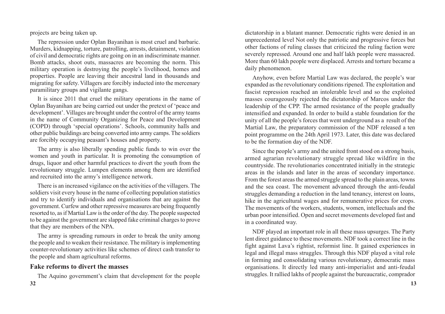projects are being taken up.

The repression under Oplan Bayanihan is most cruel and barbaric. Murders, kidnapping, torture, patrolling, arrests, detainment, violation of civil and democratic rights are going on in an indiscriminate manner. Bomb attacks, shoot outs, massacres are becoming the norm. This military operation is destroying the people's livelihood, homes and properties. People are leaving their ancestral land in thousands and migrating for safety. Villagers are forcibly inducted into the mercenary paramilitary groups and vigilante gangs.

It is since 2011 that cruel the military operations in the name of Oplan Bayanihan are being carried out under the pretext of 'peace and development'. Villages are brought under the control of the army teams in the name of Community Organizing for Peace and Development (COPD) through 'special operations'. Schools, community halls and other public buildings are being converted into army camps. The soldiers are forcibly occupying peasant's houses and property.

The army is also liberally spending public funds to win over the women and youth in particular. It is promoting the consumption of drugs, liquor and other harmful practices to divert the youth from the revolutionary struggle. Lumpen elements among them are identified and recruited into the army's intelligence network.

There is an increased vigilance on the activities of the villagers. The soldiers visit every house in the name of collecting population statistics and try to identify individuals and organisations that are against the government. Curfew and other repressive measures are being frequently resorted to, as if Martial Law is the order of the day. The people suspected to be against the government are slapped fake criminal charges to prove that they are members of the NPA.

The army is spreading rumours in order to break the unity among the people and to weaken their resistance. The military is implementing counter-revolutionary activities like schemes of direct cash transfer to the people and sham agricultural reforms.

# **Fake reforms to divert the masses**

The Aquino government's claim that development for the people

dictatorship in a blatant manner. Democratic rights were denied in an unprecedented level Not only the patriotic and progressive forces but other factions of ruling classes that criticized the ruling faction were severely repressed. Around one and half lakh people were massacred. More than 60 lakh people were displaced. Arrests and torture became a daily phenomenon.

Anyhow, even before Martial Law was declared, the people's war expanded as the revolutionary conditions ripened. The exploitation and fascist repression reached an intolerable level and so the exploited masses courageously rejected the dictatorship of Marcos under the leadership of the CPP. The armed resistance of the people gradually intensified and expanded. In order to build a stable foundation for the unity of all the people's forces that went underground as a result of the Martial Law, the preparatory commission of the NDF released a ten point programme on the 24th April 1973. Later, this date was declared to be the formation day of the NDF.

Since the people's army and the united front stood on a strong basis, armed agrarian revolutionary struggle spread like wildfire in the countryside. The revolutionaries concentrated initially in the strategic areas in the islands and later in the areas of secondary importance. From the forest areas the armed struggle spread to the plain areas, towns and the sea coast. The movement advanced through the anti-feudal struggles demanding a reduction in the land tenancy, interest on loans, hike in the agricultural wages and for remunerative prices for crops. The movements of the workers, students, women, intellectuals and the urban poor intensified. Open and secret movements developed fast and in a coordinated way.

NDF played an important role in all these mass upsurges. The Party lent direct guidance to these movements. NDF took a correct line in the fight against Lava's rightist, reformist line. It gained experiences in legal and illegal mass struggles. Through this NDF played a vital role in forming and consolidating various revolutionary, democratic mass organisations. It directly led many anti-imperialist and anti-feudal struggles. It rallied lakhs of people against the bureaucratic, comprador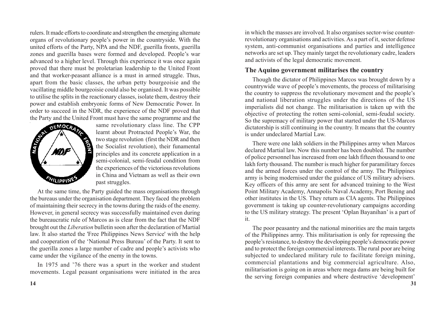rulers. It made efforts to coordinate and strengthen the emerging alternate organs of revolutionary people's power in the countryside. With the united efforts of the Party, NPA and the NDF, guerilla fronts, guerilla zones and guerilla bases were formed and developed. People's war advanced to a higher level. Through this experience it was once again proved that there must be proletarian leadership to the United Front and that worker-peasant alliance is a must in armed struggle. Thus, apart from the basic classes, the urban petty bourgeoisie and the vacillating middle bourgeoisie could also be organised. It was possible to utilise the splits in the reactionary classes, isolate them, destroy their power and establish embryonic forms of New Democratic Power. In order to succeed in the NDR, the experience of the NDF proved that



the Party and the United Front must have the same programme and the same revolutionary class line. The CPP same revolutionary class line. The CPP learnt about Protracted People's War, the two stage revolution (first the NDR and then the Socialist revolution), their funamental principles and its concrete application in a semi-colonial, semi-feudal condition from the experiences of the victorious revolutions in China and Vietnam as well as their own past struggles.

At the same time, the Party guided the mass organisations through the bureaus under the organisation department. They faced the problem of maintaining their secrecy in the towns during the raids of the enemy. However, in general secrecy was successfully maintained even during the bureaucratic rule of Marcos as is clear from the fact that the NDF brought out the *Liberation* bulletin soon after the declaration of Martial law. It also started the 'Free Philippines News Service' with the help and cooperation of the 'National Press Bureau' of the Party. It sent to the guerilla zones a large number of cadre and people's activists who came under the vigilance of the enemy in the towns.

In 1975 and '76 there was a spurt in the worker and student movements. Legal peasant organisations were initiated in the area in which the masses are involved. It also organises sector-wise counterrevolutionary organisations and activities. As a part of it, sector defense system, anti-communist organisations and parties and intelligence networks are set up. They mainly target the revolutionary cadre, leaders and activists of the legal democratic movement.

#### **The Aquino government militarises the country**

Though the dictator of Philippines Marcos was brought down by a countrywide wave of people's movements, the process of militarising the country to suppress the revolutionary movement and the people's and national liberation struggles under the directions of the US imperialists did not change. The militarisation is taken up with the objective of protecting the rotten semi-colonial, semi-feudal society. So the supremacy of military power that started under the US-Marcos dictatorship is still continuing in the country. It means that the country is under undeclared Martial Law.

There were one lakh soldiers in the Philippines army when Marcos declared Martial law. Now this number has been doubled. The number of police personnel has increased from one lakh fifteen thousand to one lakh forty thousand. The number is much higher for paramilitary forces and the armed forces under the control of the army. The Philippines army is being modernised under the guidance of US military advisers. Key officers of this army are sent for advanced training to the West Point Military Academy, Annapolis Naval Academy, Port Bening and other institutes in the US. They return as CIA agents. The Philippines government is taking up counter-revolutionary campaigns according to the US military strategy. The present 'Oplan Bayanihan' is a part of it.

The poor peasantry and the national minorities are the main targets of the Philippines army. This militarisation is only for repressing the people's resistance, to destroy the developing people's democratic power and to protect the foreign commercial interests. The rural poor are being subjected to undeclared military rule to facilitate foreign mining, commercial plantations and big commercial agriculture. Also, militarisation is going on in areas where mega dams are being built for the serving foreign companies and where destructive 'development'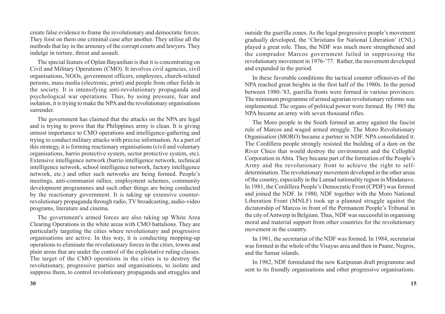create false evidence to frame the revolutionary and democratic forces. They foist on them one criminal case after another. They utilise all the methods that lay in the armoury of the corrupt courts and lawyers. They indulge in torture, threat and assault.

The special feature of Oplan Bayanihan is that it is concentrating on Civil and Military Operations (CMO). It involves civil agencies, civil organisations, NGOs, government officers, employees, church-related persons, mass media (electronic, print) and people from other fields in the society. It is intensifying anti-revolutionary propaganda and psychological war operations. Thus, by using pressure, fear and isolation, it is trying to make the NPA and the revolutionary organisations surrender.

The government has claimed that the attacks on the NPA are legal and is trying to prove that the Philippines army is clean. It is giving utmost importance to CMO operations and intelligence-gathering and trying to conduct military attacks with precise information. As a part of this strategy, it is forming reactionary organisations (civil and voluntary organisations, barrio protective system, sector protective system, etc). Extensive intelligence network (barrio intelligence network, technical intelligence network, school intelligence network, factory intelligence network, etc.) and other such networks are being formed. People's meetings, anti-communist rallies, employment schemes, community development programmes and such other things are being conducted by the reactionary government. It is taking up extensive counterrevolutionary propaganda through radio, TV broadcasting, audio-video programs, literature and cinema.

The government's armed forces are also taking up White Area Clearing Operations in the white areas with CMO battalions. They are particularly targeting the cities where revolutionary and progressive organisations are active. In this way, it is conducting mopping-up operations to eliminate the revolutionary forces in the cities, towns and plain areas that are under the control of the exploitative ruling classes. The target of the CMO operations in the cities is to destroy the revolutionary, progressive parties and organisations, to isolate and suppress them, to control revolutionary propaganda and struggles and

outside the guerilla zones. As the legal progressive people's movement gradually developed, the 'Christians for National Liberation' (CNL) played a great role. Thus, the NDF was much more strengthened and the comprador Marcos government failed in suppressing the revolutionary movement in 1976-'77. Rather, the movement developed and expanded in the period.

In these favorable conditions the tactical counter offensives of the NPA reached great heights in the first half of the 1980s. In the period between 1980-'83, guerilla fronts were formed in various provinces. The minimum programme of armed agrarian revolutionary reforms was implemented. The organs of political power were formed. By 1985 the NPA became an army with seven thousand rifles.

The Moro people in the South formed an army against the fascist rule of Marcos and waged armed struggle. The Moro Revolutionary Organisation (MORO) became a partner in NDF. NPA consolidated it. The Cordillera people strongly resisted the building of a dam on the River Chico that would destroy the environment and the Cellophil Corporation in Abra. They became part of the formation of the People's Army and the revolutionary front to achieve the right to selfdetermination. The revolutionary movement developed in the other areas of the country, especially in the Lumad nationality region in Mindanavo. In 1981, the Cordillera People's Democratic Front (CPDF) was formed and joined the NDF. In 1980, NDF together with the Moro National Liberation Front (MNLF) took up a planned struggle against the dictatorship of Marcos in front of the Permanent People's Tribunal in the city of Antwerp in Belgium. Thus, NDF was successful in organising moral and material support from other countries for the revolutionary movement in the country.

In 1981, the secretariat of the NDF was formed. In 1984, secretariat was formed in the whole of the Visayas area and then in Paane, Negros, and the Samar islands.

In 1982, NDF formulated the new Katipunan draft programme and sent to its friendly organisations and other progressive organisations.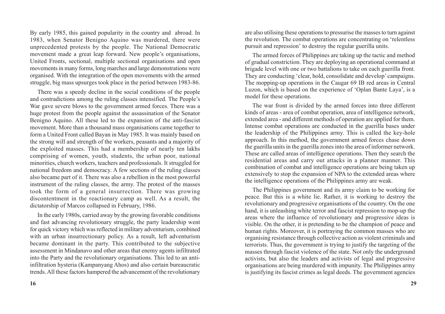By early 1985, this gained popularity in the country and abroad. In 1983, when Senator Benigno Aquino was murdered, there were unprecedented protests by the people. The National Democratic movement made a great leap forward. New people's organisations, United Fronts, sectional, multiple sectional organisations and open movements in many forms, long marches and large demonstrations were organised. With the integration of the open movements with the armed struggle, big mass upsurges took place in the period between 1983-86.

There was a speedy decline in the social conditions of the people and contradictions among the ruling classes intensified. The People's War gave severe blows to the government armed forces. There was a huge protest from the people against the assassination of the Senator Benigno Aquino. All these led to the expansion of the anti-fascist movement. More than a thousand mass organisations came together to form a United Front called Bayan in May 1985. It was mainly based on the strong will and strength of the workers, peasants and a majority of the exploited masses. This had a membership of nearly ten lakhs comprising of women, youth, students, the urban poor, national minorities, church workers, teachers and professionals. It struggled for national freedom and democracy. A few sections of the ruling classes also became part of it. There was also a rebellion in the most powerful instrument of the ruling classes, the army. The protest of the masses took the form of a general insurrection. There was growing discontentment in the reactionary camp as well. As a result, the dictatorship of Marcos collapsed in February, 1986.

In the early 1980s, carried away by the growing favorable conditions and fast advancing revolutionary struggle, the party leadership went for quick victory which was reflected in military adventurism, combined with an urban insurrectionary policy. As a result, left adventurism became dominant in the party. This contributed to the subjective assessment in Mindanavo and other areas that enemy agents infiltrated into the Party and the revolutionary organisations. This led to an antiinfiltration hysteria (Kampanyang Ahos) and also certain bureaucratic trends. All these factors hampered the advancement of the revolutionary

are also utilising these operations to pressurise the masses to turn against the revolution. The combat operations are concentrating on 'relentless pursuit and repression' to destroy the regular guerilla units.

The armed forces of Philippines are taking up the tactic and method of gradual constriction. They are deploying an operational command at brigade level with one or two battalions to take on each guerilla front. They are conducting 'clear, hold, consolidate and develop' campaigns. The mopping-up operations in the Caugar 69 IB red areas in Central Luzon, which is based on the experience of 'Oplan Bante Laya', is a model for these operations.

The war front is divided by the armed forces into three different kinds of areas - area of combat operation, area of intelligence network, extended area - and different methods of operation are applied for them. Intense combat operations are conducted in the guerilla bases under the leadership of the Philippines army. This is called the key-hole approach. In this method, the government armed forces chase down the guerilla units in the guerilla zones into the area of informer network. These are called areas of intelligence operations. Then they search the residential areas and carry out attacks in a planner manner. This combination of combat and intelligence operations are being taken up extensively to stop the expansion of NPA to the extended areas where the intelligence operations of the Philippines army are weak.

The Philippines government and its army claim to be working for peace. But this is a white lie. Rather, it is working to destroy the revolutionary and progressive organisations of the country. On the one hand, it is unleashing white terror and fascist repression to mop-up the areas where the influence of revolutionary and progressive ideas is visible. On the other, it is pretending to be the champion of peace and human rights. Moreover, it is portraying the common masses who are organising resistance through collective action as violent criminals and terrorists. Thus, the government is trying to justify the targeting of the masses through fascist violence of the state. Not only the underground activists, but also the leaders and activists of legal and progressive organisations are being murdered with impunity. The Philippines army is justifying its fascist crimes as legal deeds. The government agencies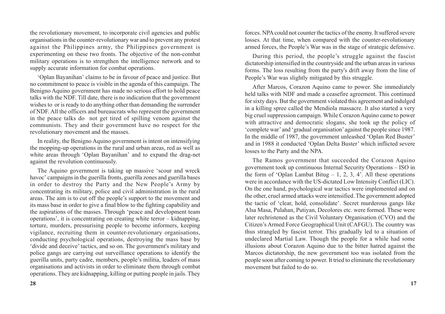the revolutionary movement, to incorporate civil agencies and public organisations in the counter-revolutionary war and to prevent any protest against the Philippines army, the Philippines government is experimenting on these two fronts. The objective of the non-combat military operations is to strengthen the intelligence network and to supply accurate information for combat operations.

'Oplan Bayanihan' claims to be in favour of peace and justice. But no commitment to peace is visible in the agenda of this campaign. The Benigno Aquino government has made no serious effort to hold peace talks with the NDF. Till date, there is no indication that the government wishes to or is ready to do anything other than demanding the surrender of NDF. All the officers and bureaucrats who represent the government in the peace talks do not get tired of spilling venom against the communists. They and their government have no respect for the revolutionary movement and the masses.

In reality, the Benigno Aquino government is intent on intensifying the mopping-up operations in the rural and urban areas, red as well as white areas through 'Oplan Bayanihan' and to expand the drag-net against the revolution continuously.

The Aquino government is taking up massive 'scour and wreck havoc' campaigns in the guerilla fronts, guerilla zones and guerilla bases in order to destroy the Party and the New People's Army by concentrating its military, police and civil administration in the rural areas. The aim is to cut off the people's support to the movement and its mass base in order to give a final blow to the fighting capability and the aspirations of the masses. Through 'peace and development team operations', it is concentrating on creating white terror – kidnapping, torture, murders, pressurising people to become informers, keeping vigilance, recruiting them in counter-revolutionary organisations, conducting psychological operations, destroying the mass base by 'divide and deceive' tactics, and so on. The government's military and police gangs are carrying out surveillance operations to identify the guerilla units, party cadre, members, people's militia, leaders of mass organisations and activists in order to eliminate them through combat operations. They are kidnapping, killing or putting people in jails. They forces. NPA could not counter the tactics of the enemy. It suffered severe losses. At that time, when compared with the counter-revolutionary armed forces, the People's War was in the stage of strategic defensive.

During this period, the people's struggle against the fascist dictatorship intensified in the countryside and the urban areas in various forms. The loss resulting from the party's drift away from the line of People's War was slightly mitigated by this struggle.

After Marcos, Corazon Aquino came to power. She immediately held talks with NDF and made a ceasefire agreement. This continued for sixty days. But the government violated this agreement and indulged in a killing spree called the Mendiola massacre. It also started a very big cruel suppression campaign. While Corazon Aquino came to power with attractive and democratic slogans, she took up the policy of 'complete war' and 'gradual organisation' against the people since 1987. In the middle of 1987, the government unleashed 'Oplan Red Buster' and in 1988 it conducted 'Oplan Delta Buster' which inflicted severe losses to the Party and the NPA.

The Ramos government that succeeded the Corazon Aquino government took up continuous Internal Security Operations – ISO in the form of 'Oplan Lambat Bitug  $-1$ , 2, 3, 4'. All these operations were in accordance with the US-dictated Low Intensity Conflict (LIC). On the one hand, psychological war tactics were implemented and on the other, cruel armed attacks were intensified. The government adopted the tactic of 'clear, hold, consolidate'. Secret murderous gangs like Alsa Masa, Pulahan, Putiyan, Decolores etc. were formed. These were later rechristened as the Civil Voluntary Organisation (CVO) and the Citizen's Armed Force Geographical Unit (CAFGU). The country was thus strangled by fascist terror. This gradually led to a situation of undeclared Martial Law. Though the people for a while had some illusions about Corazon Aquino due to the bitter hatred against the Marcos dictatorship, the new government too was isolated from the people soon after coming to power. It tried to eliminate the revolutionary movement but failed to do so.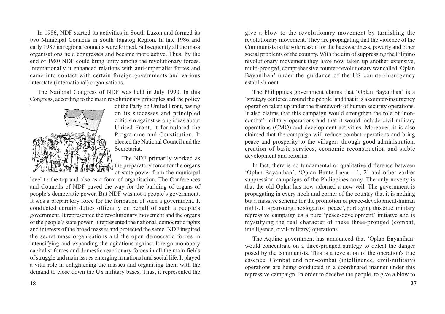In 1986, NDF started its activities in South Luzon and formed its two Municipal Councils in South Tagalog Region. In late 1986 and early 1987 its regional councils were formed. Subsequently all the mass organisations held congresses and became more active. Thus, by the end of 1980 NDF could bring unity among the revolutionary forces. Internationally it enhanced relations with anti-imperialist forces and came into contact with certain foreign governments and various interstate (international) organisations.

The National Congress of NDF was held in July 1990. In this Congress, according to the main revolutionary principles and the policy



of the Party on United Front, basing on its successes and principled criticism against wrong ideas about United Front, it formulated the Programme and Constitution. It elected the National Council and the Secretariat.

The NDF primarily worked as the preparatory force for the organs of state power from the municipal

level to the top and also as a form of organisation. The Conferences and Councils of NDF paved the way for the building of organs of people's democratic power. But NDF was not a people's government. It was a preparatory force for the formation of such a government. It conducted certain duties officially on behalf of such a people's government. It represented the revolutionary movement and the organs of the people's state power. It represented the national, democratic rights and interests of the broad masses and protected the same. NDF inspired the secret mass organisations and the open democratic forces in intensifying and expanding the agitations against foreign monopoly capitalist forces and domestic reactionary forces in all the main fields of struggle and main issues emerging in national and social life. It played a vital role in enlightening the masses and organising them with the demand to close down the US military bases. Thus, it represented the

give a blow to the revolutionary movement by tarnishing the revolutionary movement. They are propagating that the violence of the Communists is the sole reason for the backwardness, poverty and other social problems of the country. With the aim of suppressing the Filipino revolutionary movement they have now taken up another extensive, multi-pronged, comprehensive counter-revolutionary war called 'Oplan Bayanihan' under the guidance of the US counter-insurgency establishment.

The Philippines government claims that 'Oplan Bayanihan' is a 'strategy centered around the people' and that it is a counter-insurgency operation taken up under the framework of human security operations. It also claims that this campaign would strengthen the role of 'noncombat' military operations and that it would include civil military operations (CMO) and development activities. Moreover, it is also claimed that the campaign will reduce combat operations and bring peace and prosperity to the villagers through good administration, creation of basic services, economic reconstruction and stable development and reforms.

In fact, there is no fundamental or qualitative difference between 'Oplan Bayanihan', 'Oplan Bante Laya – 1, 2' and other earlier suppression campaigns of the Philippines army. The only novelty is that the old Oplan has now adorned a new veil. The government is propagating in every nook and corner of the country that it is nothing but a massive scheme for the promotion of peace-development-human rights. It is parroting the slogan of 'peace', portraying this cruel military repressive campaign as a pure 'peace-development' initiatve and is mystifying the real character of these three-pronged (combat, intelligence, civil-military) operations.

The Aquino government has announced that 'Oplan Bayanihan' would concentrate on a three-pronged strategy to defeat the danger posed by the communists. This is a revelation of the operation's true essence. Combat and non-combat (intelligence, civil-military) operations are being conducted in a coordinated manner under this repressive campaign. In order to deceive the people, to give a blow to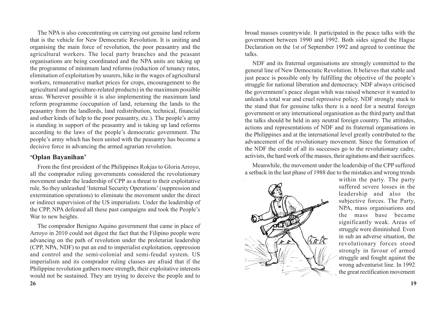The NPA is also concentrating on carrying out genuine land reform that is the vehicle for New Democratic Revolution. It is uniting and organising the main force of revolution, the poor peasantry and the agricultural workers. The local party branches and the peasant organisations are being coordinated and the NPA units are taking up the programme of minimum land reforms (reduction of tenancy rates, elimination of exploitation by usurers, hike in the wages of agricultural workers, remunerative market prices for crops, encouragement to the agricultural and agriculture-related products) in the maximum possible areas. Wherever possible it is also implementing the maximum land reform programme (occupation of land, returning the lands to the peasantry from the landlords, land redistribution, technical, financial and other kinds of help to the poor peasantry, etc.). The people's army is standing in support of the peasantry and is taking up land reforms according to the laws of the people's democratic government. The people's army which has been united with the peasantry has become a decisive force in advancing the armed agrarian revolution.

#### **'Oplan Bayanihan'**

From the first president of the Philippines Rokjas to Gloria Arroyo, all the comprador ruling governments considered the revolutionary movement under the leadership of CPP as a threat to their exploitative rule. So they unleashed 'Internal Security Operations' (suppression and extermination operations) to eliminate the movement under the direct or indirect supervision of the US imperialists. Under the leadership of the CPP, NPA defeated all these past campaigns and took the People's War to new heights.

The comprador Benigno Aquino government that came in place of Arroyo in 2010 could not digest the fact that the Filipino people were advancing on the path of revolution under the proletariat leadership (CPP, NPA, NDF) to put an end to imperialist exploitation, oppression and control and the semi-colonial and semi-feudal system. US imperialism and its comprador ruling classes are afraid that if the Philippine revolution gathers more strength, their exploitative interests would not be sustained. They are trying to deceive the people and to

broad masses countrywide. It participated in the peace talks with the government between 1990 and 1992. Both sides signed the Hague Declaration on the 1st of September 1992 and agreed to continue the talks.

NDF and its fraternal organisations are strongly committed to the general line of New Democratic Revolution. It believes that stable and just peace is possible only by fulfilling the objective of the people's struggle for national liberation and democracy. NDF always criticised the government's peace slogan whih was raised whenever it wanted to unleash a total war and cruel repressive policy. NDF strongly stuck to the stand that for genuine talks there is a need for a neutral foreign government or any international organisation as the third party and that the talks should be held in any neutral foreign country. The attitudes, actions and representations of NDF and its fraternal organisations in the Philippines and at the international level greatly contributed to the advancement of the revolutionary movement. Since the formation of the NDF the credit of all its successes go to the revolutionary cadre, activists, the hard work of the masses, their agitations and their sacrifices.

Meanwhile, the movement under the leadership of the CPP suffered a setback in the last phase of 1988 due to the mistakes and wrong trends



within the party. The party suffered severe losses in the leadership and also the subjective forces. The Party, NPA, mass organisations and the mass base became significantly weak. Areas of struggle were diminished. Even in suh an adverse situation, the revolutionary forces stood strongly in favour of armed struggle and fought against the wrong adventurist line. In 1992 the great rectification movement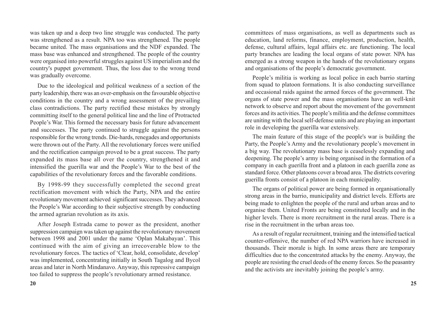was taken up and a deep two line struggle was conducted. The party was strengthened as a result. NPA too was strengthened. The people became united. The mass organisations and the NDF expanded. The mass base was enhanced and strengthened. The people of the country were organised into powerful struggles against US imperialism and the country's puppet government. Thus, the loss due to the wrong trend was gradually overcome.

Due to the ideological and political weakness of a section of the party leadership, there was an over-emphasis on the favourable objective conditions in the country and a wrong assessment of the prevailing class contradictions. The party rectified these mistakes by strongly committing itself to the general political line and the line of Protracted People's War. This formed the necessary basis for future advancement and successes. The party continued to struggle against the persons responsible for the wrong trends. Die-hards, renegades and opportunists were thrown out of the Party. All the revolutionary forces were unified and the rectification campaign proved to be a great success. The party expanded its mass base all over the country, strengthened it and intensified the guerilla war and the People's War to the best of the capabilities of the revolutionary forces and the favorable conditions.

By 1998-99 they successfully completed the second great rectification movement with which the Party, NPA and the entire revolutionary movement achieved significant successes. They advanced the People's War according to their subjective strength by conducting the armed agrarian revolution as its axis.

After Joseph Estrada came to power as the president, another suppression campaign was taken up against the revolutionary movement between 1998 and 2001 under the name 'Oplan Makabayan'. This continued with the aim of giving an irrecoverable blow to the revolutionary forces. The tactics of 'Clear, hold, consolidate, develop' was implemented, concentrating initially in South Tagalog and Bycol areas and later in North Mindanavo. Anyway, this repressive campaign too failed to suppress the people's revolutionary armed resistance.

committees of mass organisations, as well as departments such as education, land reforms, finance, employment, production, health, defense, cultural affairs, legal affairs etc. are functioning. The local party branches are leading the local organs of state power. NPA has emerged as a strong weapon in the hands of the revolutionary organs and organisations of the people's democratic government.

People's militia is working as local police in each barrio starting from squad to platoon formations. It is also conducting surveillance and occasional raids against the armed forces of the government. The organs of state power and the mass organisations have an well-knit network to observe and report about the movement of the government forces and its activities. The people's militia and the defense committees are uniting with the local self-defense units and are playing an important role in developing the guerilla war extensively.

The main feature of this stage of the people's war is building the Party, the People's Army and the revolutionary people's movement in a big way. The revolutionary mass base is ceaselessly expanding and deepening. The people's army is being organised in the formation of a company in each guerilla front and a platoon in each guerilla zone as standard force. Other platoons cover a broad area. The districts covering guerilla fronts consist of a platoon in each municipality.

The organs of political power are being formed in organisationally strong areas in the barrio, municipality and district levels. Efforts are being made to enlighten the people of the rural and urban areas and to organise them. United Fronts are being constituted locally and in the higher levels. There is more recruitment in the rural areas. There is a rise in the recruitment in the urban areas too.

As a result of regular recruitment, training and the intensified tactical counter-offensive, the number of red NPA warriors have increased in thousands. Their morale is high. In some areas there are temporary difficulties due to the concentrated attacks by the enemy. Anyway, the people are resisting the cruel deeds of the enemy forces. So the peasantry and the activists are inevitably joining the people's army.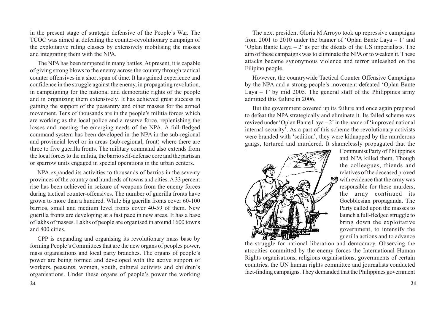in the present stage of strategic defensive of the People's War. The TCOC was aimed at defeating the counter-revolutionary campaign of the exploitative ruling classes by extensively mobilising the masses and integrating them with the NPA.

The NPA has been tempered in many battles. At present, it is capable of giving strong blows to the enemy across the country through tactical counter offensives in a short span of time. It has gained experience and confidence in the struggle against the enemy, in propagating revolution, in campaigning for the national and democratic rights of the people and in organizing them extensively. It has achieved great success in gaining the support of the peasantry and other masses for the armed movement. Tens of thousands are in the people's militia forces which are working as the local police and a reserve force, replenishing the losses and meeting the emerging needs of the NPA. A full-fledged command system has been developed in the NPA in the sub-regional and provincial level or in areas (sub-regional, front) where there are three to five guerilla fronts. The military command also extends from the local forces to the militia, the barrio self-defense core and the partisan or sparrow units engaged in special operations in the urban centers.

NPA expanded its activities to thousands of barrios in the seventy provinces of the country and hundreds of towns and cities. A 33 percent rise has been achieved in seizure of weapons from the enemy forces during tactical counter-offensives. The number of guerilla fronts have grown to more than a hundred. While big guerilla fronts cover 60-100 barrios, small and medium level fronts cover 40-59 of them. New guerilla fronts are developing at a fast pace in new areas. It has a base of lakhs of masses. Lakhs of people are organised in around 1600 towns and 800 cities.

CPP is expanding and organising its revolutionary mass base by forming People's Committees that are the new organs of peoples power, mass organisations and local party branches. The organs of people's power are being formed and developed with the active support of workers, peasants, women, youth, cultural activists and children's organisations. Under these organs of people's power the working

The next president Gloria M Arroyo took up repressive campaigns from 2001 to 2010 under the banner of 'Oplan Bante Laya – 1' and 'Oplan Bante Laya – 2' as per the diktats of the US imperialists. The aim of these campaigns was to eliminate the NPA or to weaken it. These attacks became synonymous violence and terror unleashed on the Filipino people.

However, the countrywide Tactical Counter Offensive Campaigns by the NPA and a strong people's movement defeated 'Oplan Bante Laya – 1' by mid 2005. The general staff of the Philippines army admitted this failure in 2006.

But the government covered up its failure and once again prepared to defeat the NPA strategically and eliminate it. Its failed scheme was revived under 'Oplan Bante Laya – 2' in the name of 'improved national internal security'. As a part of this scheme the revolutionary activists were branded with 'sedition', they were kidnapped by the murderous gangs, tortured and murdered. It shamelessly propagated that the



Communist Party of Philippines and NPA killed them. Though the colleagues, friends and relatives of the deceased proved  $\mathbb{M}$  with evidence that the army was responsible for these murders, the army continued its Goebblesian propaganda. The Party called upon the masses to launch a full-fledged struggle to bring down the exploitative government, to intensify the guerilla actions and to advance

the struggle for national liberation and democracy. Observing the atrocities committed by the enemy forces the International Human Rights organisations, religious organisations, governments of certain countries, the UN human rights committee and journalists conducted fact-finding campaigns. They demanded that the Philippines government